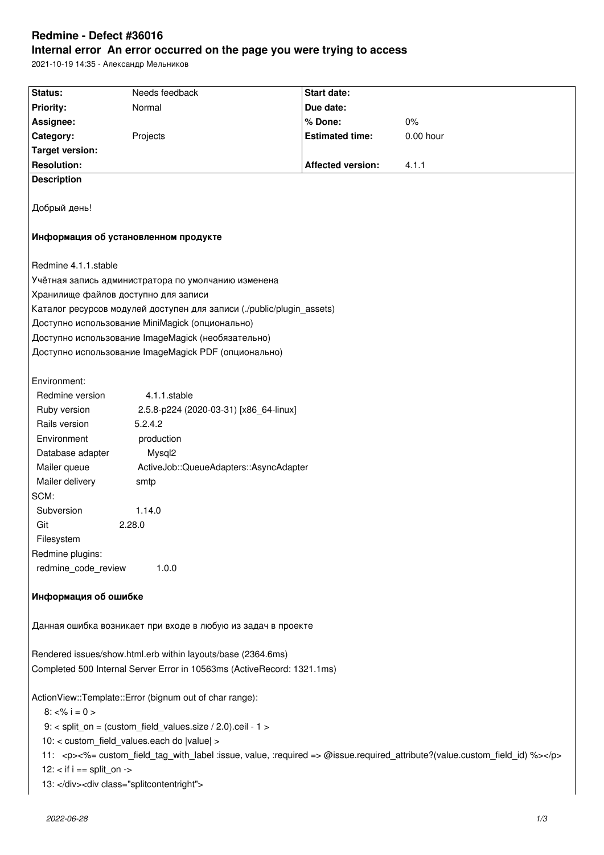# **Redmine - Defect #36016**

**Internal error An error occurred on the page you were trying to access**

2021-10-19 14:35 - Александр Мельников

| Status:                                                                                                                                                                                                                                                                                                                                      | Needs feedback                                                        | Start date:              |             |  |
|----------------------------------------------------------------------------------------------------------------------------------------------------------------------------------------------------------------------------------------------------------------------------------------------------------------------------------------------|-----------------------------------------------------------------------|--------------------------|-------------|--|
| <b>Priority:</b>                                                                                                                                                                                                                                                                                                                             | Normal                                                                | Due date:                |             |  |
| Assignee:                                                                                                                                                                                                                                                                                                                                    |                                                                       | % Done:                  | 0%          |  |
| Category:                                                                                                                                                                                                                                                                                                                                    | Projects                                                              | <b>Estimated time:</b>   | $0.00$ hour |  |
| <b>Target version:</b>                                                                                                                                                                                                                                                                                                                       |                                                                       |                          |             |  |
| <b>Resolution:</b>                                                                                                                                                                                                                                                                                                                           |                                                                       | <b>Affected version:</b> | 4.1.1       |  |
| <b>Description</b>                                                                                                                                                                                                                                                                                                                           |                                                                       |                          |             |  |
| Добрый день!                                                                                                                                                                                                                                                                                                                                 |                                                                       |                          |             |  |
| Информация об установленном продукте                                                                                                                                                                                                                                                                                                         |                                                                       |                          |             |  |
| Redmine 4.1.1.stable                                                                                                                                                                                                                                                                                                                         |                                                                       |                          |             |  |
| Учётная запись администратора по умолчанию изменена                                                                                                                                                                                                                                                                                          |                                                                       |                          |             |  |
| Хранилище файлов доступно для записи                                                                                                                                                                                                                                                                                                         |                                                                       |                          |             |  |
|                                                                                                                                                                                                                                                                                                                                              | Каталог ресурсов модулей доступен для записи (./public/plugin_assets) |                          |             |  |
|                                                                                                                                                                                                                                                                                                                                              | Доступно использование MiniMagick (опционально)                       |                          |             |  |
|                                                                                                                                                                                                                                                                                                                                              | Доступно использование ImageMagick (необязательно)                    |                          |             |  |
| Доступно использование ImageMagick PDF (опционально)                                                                                                                                                                                                                                                                                         |                                                                       |                          |             |  |
|                                                                                                                                                                                                                                                                                                                                              |                                                                       |                          |             |  |
| Environment:                                                                                                                                                                                                                                                                                                                                 |                                                                       |                          |             |  |
| Redmine version                                                                                                                                                                                                                                                                                                                              | 4.1.1.stable                                                          |                          |             |  |
| Ruby version                                                                                                                                                                                                                                                                                                                                 | 2.5.8-p224 (2020-03-31) [x86_64-linux]                                |                          |             |  |
| Rails version                                                                                                                                                                                                                                                                                                                                | 5.2.4.2                                                               |                          |             |  |
| Environment                                                                                                                                                                                                                                                                                                                                  | production                                                            |                          |             |  |
| Database adapter                                                                                                                                                                                                                                                                                                                             | Mysql2                                                                |                          |             |  |
| Mailer queue                                                                                                                                                                                                                                                                                                                                 | ActiveJob::QueueAdapters::AsyncAdapter                                |                          |             |  |
| Mailer delivery                                                                                                                                                                                                                                                                                                                              | smtp                                                                  |                          |             |  |
| SCM:                                                                                                                                                                                                                                                                                                                                         |                                                                       |                          |             |  |
| Subversion                                                                                                                                                                                                                                                                                                                                   | 1.14.0                                                                |                          |             |  |
| Git                                                                                                                                                                                                                                                                                                                                          | 2.28.0                                                                |                          |             |  |
| Filesystem                                                                                                                                                                                                                                                                                                                                   |                                                                       |                          |             |  |
| Redmine plugins:                                                                                                                                                                                                                                                                                                                             |                                                                       |                          |             |  |
| redmine_code_review                                                                                                                                                                                                                                                                                                                          | 1.0.0                                                                 |                          |             |  |
|                                                                                                                                                                                                                                                                                                                                              |                                                                       |                          |             |  |
| Информация об ошибке                                                                                                                                                                                                                                                                                                                         |                                                                       |                          |             |  |
| Данная ошибка возникает при входе в любую из задач в проекте                                                                                                                                                                                                                                                                                 |                                                                       |                          |             |  |
| Rendered issues/show.html.erb within layouts/base (2364.6ms)                                                                                                                                                                                                                                                                                 |                                                                       |                          |             |  |
| Completed 500 Internal Server Error in 10563ms (ActiveRecord: 1321.1ms)                                                                                                                                                                                                                                                                      |                                                                       |                          |             |  |
|                                                                                                                                                                                                                                                                                                                                              |                                                                       |                          |             |  |
| ActionView::Template::Error (bignum out of char range):<br>$8: <\frac{9}{6}$ i = 0 ><br>9: < split_on = (custom_field_values.size / 2.0).ceil - $1 >$<br>10: < custom_field_values.each do  value  ><br>11: <p>&lt;%= custom_field_tag_with_label :issue, value, :required =&gt; @issue.required_attribute?(value.custom_field_id) %&gt;</p> |                                                                       |                          |             |  |
|                                                                                                                                                                                                                                                                                                                                              |                                                                       |                          |             |  |
| $12:$ < if i == split_on ->                                                                                                                                                                                                                                                                                                                  |                                                                       |                          |             |  |
| 13: <div class="splitcontentright"></div>                                                                                                                                                                                                                                                                                                    |                                                                       |                          |             |  |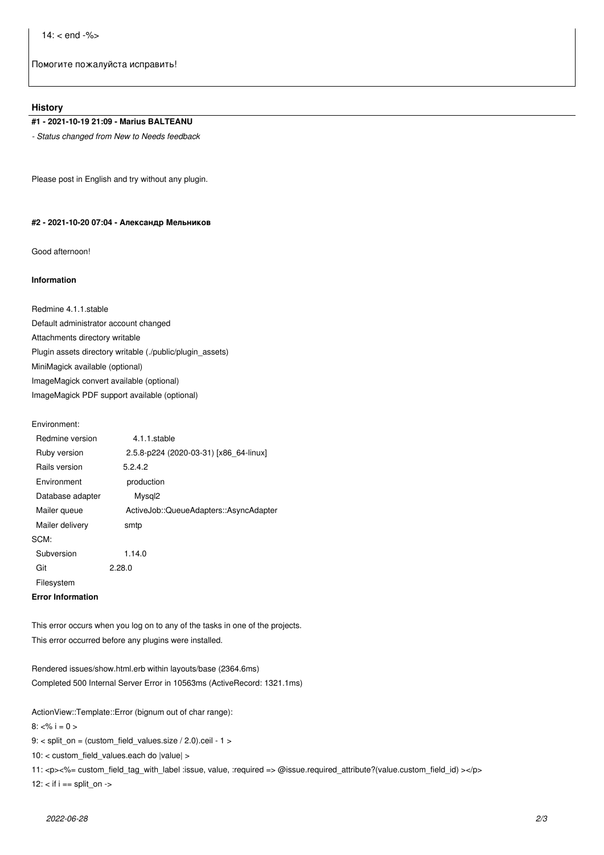Помогите пожалуйста исправить!

## **History**

### **#1 - 2021-10-19 21:09 - Marius BALTEANU**

*- Status changed from New to Needs feedback*

Please post in English and try without any plugin.

#### **#2 - 2021-10-20 07:04 - Александр Мельников**

Good afternoon!

## **Information**

Redmine 4.1.1.stable Default administrator account changed Attachments directory writable Plugin assets directory writable (./public/plugin\_assets) MiniMagick available (optional) ImageMagick convert available (optional) ImageMagick PDF support available (optional)

#### Environment:

|               | Redmine version  | 4.1.1.stable                           |
|---------------|------------------|----------------------------------------|
| Ruby version  |                  | 2.5.8-p224 (2020-03-31) [x86 64-linux] |
| Rails version |                  | 5.2.4.2                                |
| Environment   |                  | production                             |
|               | Database adapter | Mysgl <sub>2</sub>                     |
|               | Mailer queue     | ActiveJob::QueueAdapters::AsyncAdapter |
|               | Mailer delivery  | smtp                                   |
|               | SCM:             |                                        |
|               | Subversion       | 1.14.0                                 |
| Git           |                  | 2.28.0                                 |
|               | Filesystem       |                                        |
|               |                  |                                        |

## **Error Information**

This error occurs when you log on to any of the tasks in one of the projects. This error occurred before any plugins were installed.

Rendered issues/show.html.erb within layouts/base (2364.6ms) Completed 500 Internal Server Error in 10563ms (ActiveRecord: 1321.1ms)

ActionView::Template::Error (bignum out of char range):

 $8: <\frac{6}{6}$  i = 0 >

9:  $<$  split on = (custom field values.size / 2.0).ceil - 1 >

10: < custom\_field\_values.each do |value| >

11: <p><%= custom\_field\_tag\_with\_label :issue, value, :required => @issue.required\_attribute?(value.custom\_field\_id) ></p>

 $12:$  < if i == split\_on ->